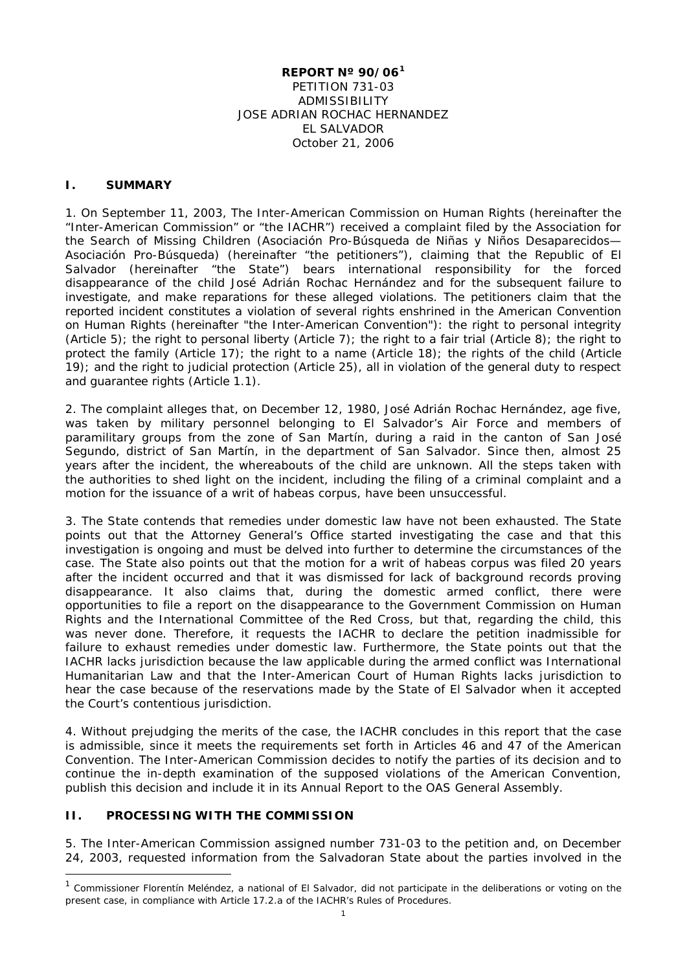#### **REPORT Nº 90/06[1](#page-0-0)** PETITION 731-03 ADMISSIBILITY JOSE ADRIAN ROCHAC HERNANDEZ EL SALVADOR October 21, 2006

#### **I. SUMMARY**

1. On September 11, 2003, The Inter-American Commission on Human Rights (hereinafter the "Inter-American Commission" or "the IACHR") received a complaint filed by the Association for the Search of Missing Children (*Asociación Pro-Búsqueda de Niñas y Niños Desaparecidos— Asociación Pro-Búsqueda*) (hereinafter "the petitioners"), claiming that the Republic of El Salvador (hereinafter "the State") bears international responsibility for the forced disappearance of the child José Adrián Rochac Hernández and for the subsequent failure to investigate, and make reparations for these alleged violations. The petitioners claim that the reported incident constitutes a violation of several rights enshrined in the American Convention on Human Rights (hereinafter "the Inter-American Convention"): the right to personal integrity (Article 5); the right to personal liberty (Article 7); the right to a fair trial (Article 8); the right to protect the family (Article 17); the right to a name (Article 18); the rights of the child (Article 19); and the right to judicial protection (Article 25), all in violation of the general duty to respect and guarantee rights (Article 1.1).

2. The complaint alleges that, on December 12, 1980, José Adrián Rochac Hernández, age five, was taken by military personnel belonging to El Salvador's Air Force and members of paramilitary groups from the zone of San Martín, during a raid in the canton of San José Segundo, district of San Martín, in the department of San Salvador. Since then, almost 25 years after the incident, the whereabouts of the child are unknown. All the steps taken with the authorities to shed light on the incident, including the filing of a criminal complaint and a motion for the issuance of a writ of habeas corpus, have been unsuccessful.

3. The State contends that remedies under domestic law have not been exhausted. The State points out that the Attorney General's Office started investigating the case and that this investigation is ongoing and must be delved into further to determine the circumstances of the case. The State also points out that the motion for a writ of habeas corpus was filed 20 years after the incident occurred and that it was dismissed for lack of background records proving disappearance. It also claims that, during the domestic armed conflict, there were opportunities to file a report on the disappearance to the Government Commission on Human Rights and the International Committee of the Red Cross, but that, regarding the child, this was never done. Therefore, it requests the IACHR to declare the petition inadmissible for failure to exhaust remedies under domestic law. Furthermore, the State points out that the IACHR lacks jurisdiction because the law applicable during the armed conflict was International Humanitarian Law and that the Inter-American Court of Human Rights lacks jurisdiction to hear the case because of the reservations made by the State of El Salvador when it accepted the Court's contentious jurisdiction.

4. Without prejudging the merits of the case, the IACHR concludes in this report that the case is admissible, since it meets the requirements set forth in Articles 46 and 47 of the American Convention. The Inter-American Commission decides to notify the parties of its decision and to continue the in-depth examination of the supposed violations of the American Convention, publish this decision and include it in its Annual Report to the OAS General Assembly.

### **II. PROCESSING WITH THE COMMISSION**

5. The Inter-American Commission assigned number 731-03 to the petition and, on December 24, 2003, requested information from the Salvadoran State about the parties involved in the

<span id="page-0-0"></span> $1$  Commissioner Florentín Meléndez, a national of El Salvador, did not participate in the deliberations or voting on the present case, in compliance with Article 17.2.a of the IACHR's Rules of Procedures.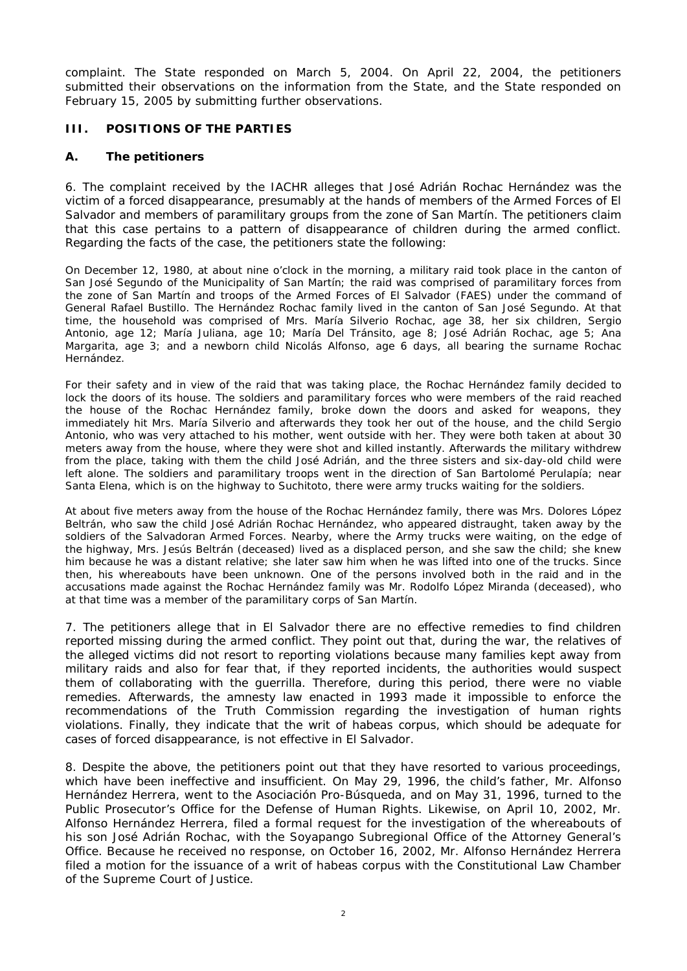complaint. The State responded on March 5, 2004. On April 22, 2004, the petitioners submitted their observations on the information from the State, and the State responded on February 15, 2005 by submitting further observations.

### **III. POSITIONS OF THE PARTIES**

#### **A. The petitioners**

6. The complaint received by the IACHR alleges that José Adrián Rochac Hernández was the victim of a forced disappearance, presumably at the hands of members of the Armed Forces of El Salvador and members of paramilitary groups from the zone of San Martín. The petitioners claim that this case pertains to a pattern of disappearance of children during the armed conflict. Regarding the facts of the case, the petitioners state the following:

On December 12, 1980, at about nine o'clock in the morning, a military raid took place in the canton of San José Segundo of the Municipality of San Martín; the raid was comprised of paramilitary forces from the zone of San Martín and troops of the Armed Forces of El Salvador (FAES) under the command of General Rafael Bustillo. The Hernández Rochac family lived in the canton of San José Segundo. At that time, the household was comprised of Mrs. María Silverio Rochac, age 38, her six children, Sergio Antonio, age 12; María Juliana, age 10; María Del Tránsito, age 8; José Adrián Rochac, age 5; Ana Margarita, age 3; and a newborn child Nicolás Alfonso, age 6 days, all bearing the surname Rochac Hernández.

For their safety and in view of the raid that was taking place, the Rochac Hernández family decided to lock the doors of its house. The soldiers and paramilitary forces who were members of the raid reached the house of the Rochac Hernández family, broke down the doors and asked for weapons, they immediately hit Mrs. María Silverio and afterwards they took her out of the house, and the child Sergio Antonio, who was very attached to his mother, went outside with her. They were both taken at about 30 meters away from the house, where they were shot and killed instantly. Afterwards the military withdrew from the place, taking with them the child José Adrián, and the three sisters and six-day-old child were left alone. The soldiers and paramilitary troops went in the direction of San Bartolomé Perulapía; near Santa Elena, which is on the highway to Suchitoto, there were army trucks waiting for the soldiers.

At about five meters away from the house of the Rochac Hernández family, there was Mrs. Dolores López Beltrán, who saw the child José Adrián Rochac Hernández, who appeared distraught, taken away by the soldiers of the Salvadoran Armed Forces. Nearby, where the Army trucks were waiting, on the edge of the highway, Mrs. Jesús Beltrán (deceased) lived as a displaced person, and she saw the child; she knew him because he was a distant relative; she later saw him when he was lifted into one of the trucks. Since then, his whereabouts have been unknown. One of the persons involved both in the raid and in the accusations made against the Rochac Hernández family was Mr. Rodolfo López Miranda (deceased), who at that time was a member of the paramilitary corps of San Martín.

7. The petitioners allege that in El Salvador there are no effective remedies to find children reported missing during the armed conflict. They point out that, during the war, the relatives of the alleged victims did not resort to reporting violations because many families kept away from military raids and also for fear that, if they reported incidents, the authorities would suspect them of collaborating with the guerrilla. Therefore, during this period, there were no viable remedies. Afterwards, the amnesty law enacted in 1993 made it impossible to enforce the recommendations of the Truth Commission regarding the investigation of human rights violations. Finally, they indicate that the writ of habeas corpus, which should be adequate for cases of forced disappearance, is not effective in El Salvador.

8. Despite the above, the petitioners point out that they have resorted to various proceedings, which have been ineffective and insufficient. On May 29, 1996, the child's father, Mr. Alfonso Hernández Herrera, went to the *Asociación Pro-Búsqueda,* and on May 31, 1996, turned to the Public Prosecutor's Office for the Defense of Human Rights. Likewise, on April 10, 2002, Mr. Alfonso Hernández Herrera, filed a formal request for the investigation of the whereabouts of his son José Adrián Rochac, with the Soyapango Subregional Office of the Attorney General's Office. Because he received no response, on October 16, 2002, Mr. Alfonso Hernández Herrera filed a motion for the issuance of a writ of habeas corpus with the Constitutional Law Chamber of the Supreme Court of Justice.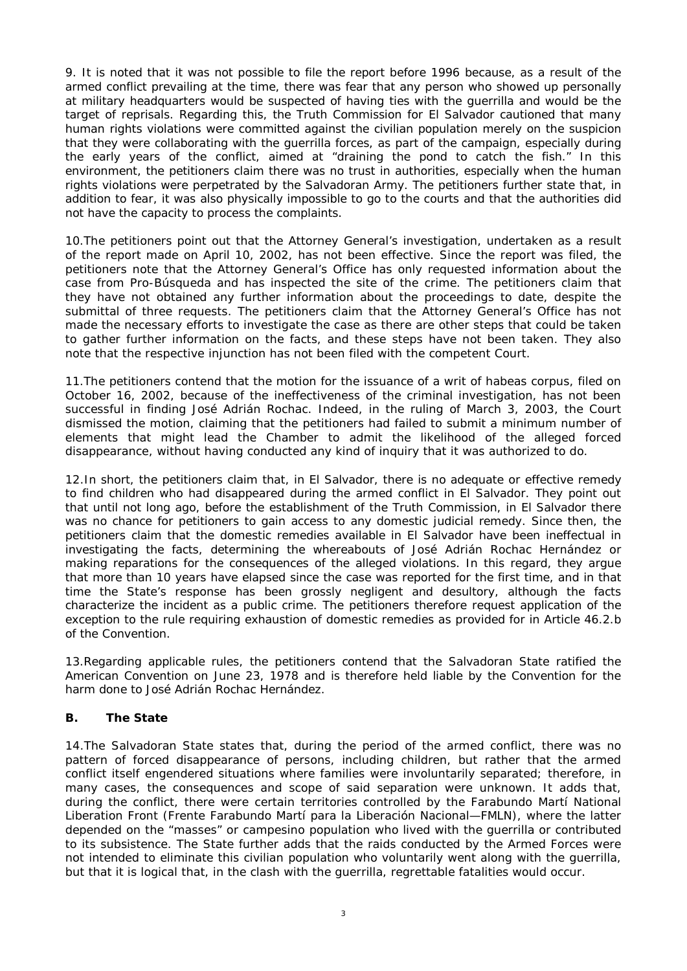9. It is noted that it was not possible to file the report before 1996 because, as a result of the armed conflict prevailing at the time, there was fear that any person who showed up personally at military headquarters would be suspected of having ties with the guerrilla and would be the target of reprisals. Regarding this, the Truth Commission for El Salvador cautioned that many human rights violations were committed against the civilian population merely on the suspicion that they were collaborating with the guerrilla forces, as part of the campaign, especially during the early years of the conflict, aimed at "draining the pond to catch the fish." In this environment, the petitioners claim there was no trust in authorities, especially when the human rights violations were perpetrated by the Salvadoran Army. The petitioners further state that, in addition to fear, it was also physically impossible to go to the courts and that the authorities did not have the capacity to process the complaints.

10.The petitioners point out that the Attorney General's investigation, undertaken as a result of the report made on April 10, 2002, has not been effective. Since the report was filed, the petitioners note that the Attorney General's Office has only requested information about the case from *Pro-Búsqueda* and has inspected the site of the crime. The petitioners claim that they have not obtained any further information about the proceedings to date, despite the submittal of three requests. The petitioners claim that the Attorney General's Office has not made the necessary efforts to investigate the case as there are other steps that could be taken to gather further information on the facts, and these steps have not been taken. They also note that the respective injunction has not been filed with the competent Court.

11.The petitioners contend that the motion for the issuance of a writ of habeas corpus, filed on October 16, 2002, because of the ineffectiveness of the criminal investigation, has not been successful in finding José Adrián Rochac. Indeed, in the ruling of March 3, 2003, the Court dismissed the motion, claiming that the petitioners had failed to submit a minimum number of elements that might lead the Chamber to admit the likelihood of the alleged forced disappearance, without having conducted any kind of inquiry that it was authorized to do.

12.In short, the petitioners claim that, in El Salvador, there is no adequate or effective remedy to find children who had disappeared during the armed conflict in El Salvador. They point out that until not long ago, before the establishment of the Truth Commission, in El Salvador there was no chance for petitioners to gain access to any domestic judicial remedy. Since then, the petitioners claim that the domestic remedies available in El Salvador have been ineffectual in investigating the facts, determining the whereabouts of José Adrián Rochac Hernández or making reparations for the consequences of the alleged violations. In this regard, they argue that more than 10 years have elapsed since the case was reported for the first time, and in that time the State's response has been grossly negligent and desultory, although the facts characterize the incident as a public crime. The petitioners therefore request application of the exception to the rule requiring exhaustion of domestic remedies as provided for in Article 46.2.b of the Convention.

13.Regarding applicable rules, the petitioners contend that the Salvadoran State ratified the American Convention on June 23, 1978 and is therefore held liable by the Convention for the harm done to José Adrián Rochac Hernández.

## **B. The State**

14.The Salvadoran State states that, during the period of the armed conflict, there was no pattern of forced disappearance of persons, including children, but rather that the armed conflict itself engendered situations where families were involuntarily separated; therefore, in many cases, the consequences and scope of said separation were unknown. It adds that, during the conflict, there were certain territories controlled by the Farabundo Martí National Liberation Front (Frente Farabundo Martí para la Liberación Nacional—FMLN), where the latter depended on the "masses" or campesino population who lived with the guerrilla or contributed to its subsistence. The State further adds that the raids conducted by the Armed Forces were not intended to eliminate this civilian population who voluntarily went along with the guerrilla, but that it is logical that, in the clash with the guerrilla, regrettable fatalities would occur.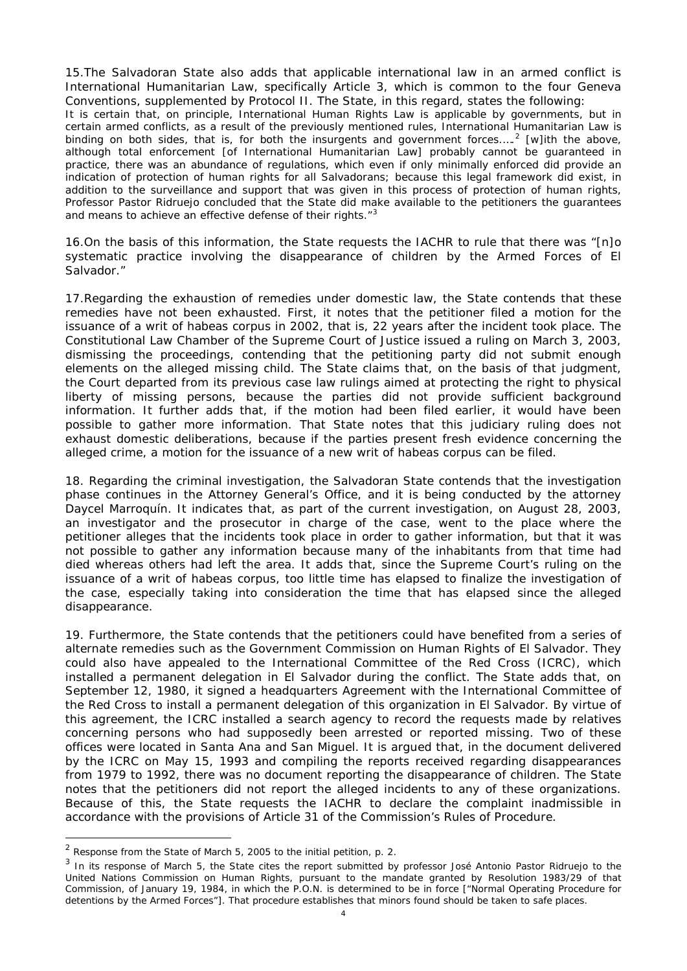15.The Salvadoran State also adds that applicable international law in an armed conflict is International Humanitarian Law, specifically Article 3, which is common to the four Geneva Conventions, supplemented by Protocol II. The State, in this regard, states the following: It is certain that, on principle, International Human Rights Law is applicable by governments, but in certain armed conflicts, as a result of the previously mentioned rules, International Humanitarian Law is binding on both sides, that is, for both the insurgents and government forces....<sup>[2](#page-3-0)</sup> [w]ith the above, although total enforcement [of International Humanitarian Law] probably cannot be guaranteed in practice, there was an abundance of regulations, which even if only minimally enforced did provide an indication of protection of human rights for all Salvadorans; because this legal framework did exist, in addition to the surveillance and support that was given in this process of protection of human rights, Professor Pastor Ridruejo concluded that the State did make available to the petitioners the guarantees and means to achieve an effective defense of their rights."<sup>[3](#page-3-1)</sup>

16.On the basis of this information, the State requests the IACHR to rule that there was "[n]o systematic practice involving the disappearance of children by the Armed Forces of El Salvador."

17.Regarding the exhaustion of remedies under domestic law, the State contends that these remedies have not been exhausted. First, it notes that the petitioner filed a motion for the issuance of a writ of habeas corpus in 2002, that is, 22 years after the incident took place. The Constitutional Law Chamber of the Supreme Court of Justice issued a ruling on March 3, 2003, dismissing the proceedings, contending that the petitioning party did not submit enough elements on the alleged missing child. The State claims that, on the basis of that judgment, the Court departed from its previous case law rulings aimed at protecting the right to physical liberty of missing persons, because the parties did not provide sufficient background information. It further adds that, if the motion had been filed earlier, it would have been possible to gather more information. That State notes that this judiciary ruling does not exhaust domestic deliberations, because if the parties present fresh evidence concerning the alleged crime, a motion for the issuance of a new writ of habeas corpus can be filed.

18. Regarding the criminal investigation, the Salvadoran State contends that the investigation phase continues in the Attorney General's Office, and it is being conducted by the attorney Daycel Marroquín. It indicates that, as part of the current investigation, on August 28, 2003, an investigator and the prosecutor in charge of the case, went to the place where the petitioner alleges that the incidents took place in order to gather information, but that it was not possible to gather any information because many of the inhabitants from that time had died whereas others had left the area. It adds that, since the Supreme Court's ruling on the issuance of a writ of habeas corpus, too little time has elapsed to finalize the investigation of the case, especially taking into consideration the time that has elapsed since the alleged disappearance.

19. Furthermore, the State contends that the petitioners could have benefited from a series of alternate remedies such as the Government Commission on Human Rights of El Salvador. They could also have appealed to the International Committee of the Red Cross (ICRC), which installed a permanent delegation in El Salvador during the conflict. The State adds that, on September 12, 1980, it signed a headquarters Agreement with the International Committee of the Red Cross to install a permanent delegation of this organization in El Salvador. By virtue of this agreement, the ICRC installed a search agency to record the requests made by relatives concerning persons who had supposedly been arrested or reported missing. Two of these offices were located in Santa Ana and San Miguel. It is argued that, in the document delivered by the ICRC on May 15, 1993 and compiling the reports received regarding disappearances from 1979 to 1992, there was no document reporting the disappearance of children. The State notes that the petitioners did not report the alleged incidents to any of these organizations. Because of this, the State requests the IACHR to declare the complaint inadmissible in accordance with the provisions of Article 31 of the Commission's Rules of Procedure.

<span id="page-3-0"></span> $2$  Response from the State of March 5, 2005 to the initial petition, p. 2.

<span id="page-3-1"></span><sup>&</sup>lt;sup>3</sup> In its response of March 5, the State cites the report submitted by professor José Antonio Pastor Ridruejo to the United Nations Commission on Human Rights, pursuant to the mandate granted by Resolution 1983/29 of that Commission, of January 19, 1984, in which the P.O.N. is determined to be in force ["Normal Operating Procedure for detentions by the Armed Forces"]. That procedure establishes that minors found should be taken to safe places.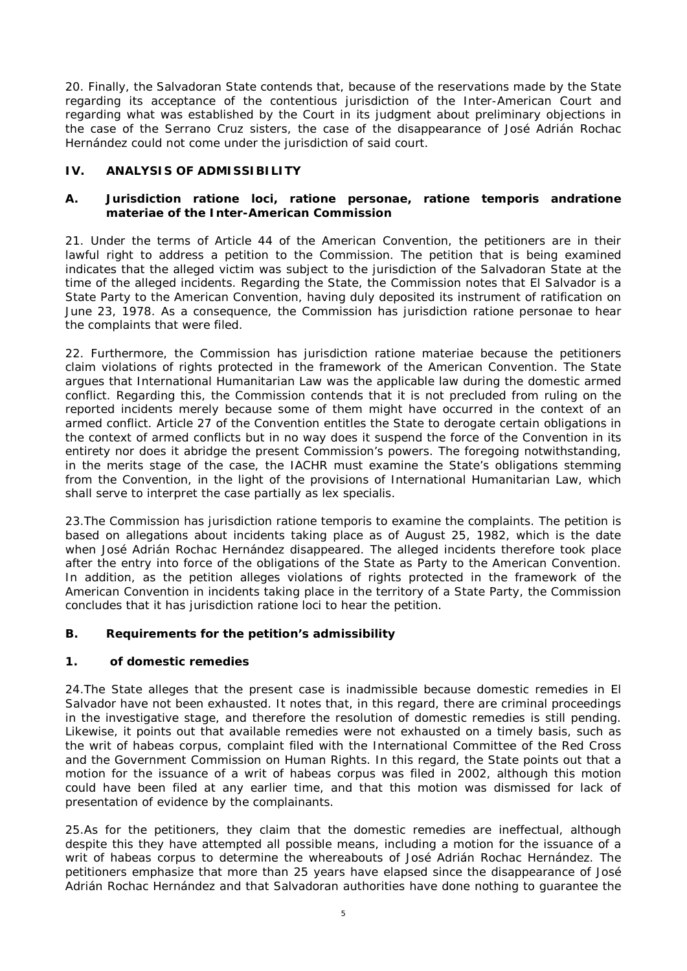20. Finally, the Salvadoran State contends that, because of the reservations made by the State regarding its acceptance of the contentious jurisdiction of the Inter-American Court and regarding what was established by the Court in its judgment about preliminary objections in the case of the Serrano Cruz sisters, the case of the disappearance of José Adrián Rochac Hernández could not come under the jurisdiction of said court.

# **IV. ANALYSIS OF ADMISSIBILITY**

### **A. Jurisdiction** *ratione loci, ratione personae, ratione temporis* **and***ratione materia***e of the Inter-American Commission**

21. Under the terms of Article 44 of the American Convention, the petitioners are in their lawful right to address a petition to the Commission. The petition that is being examined indicates that the alleged victim was subject to the jurisdiction of the Salvadoran State at the time of the alleged incidents. Regarding the State, the Commission notes that El Salvador is a State Party to the American Convention, having duly deposited its instrument of ratification on June 23, 1978. As a consequence, the Commission has jurisdiction *ratione personae* to hear the complaints that were filed.

22. Furthermore, the Commission has jurisdiction *ratione materiae* because the petitioners claim violations of rights protected in the framework of the American Convention. The State argues that International Humanitarian Law was the applicable law during the domestic armed conflict. Regarding this, the Commission contends that it is not precluded from ruling on the reported incidents merely because some of them might have occurred in the context of an armed conflict. Article 27 of the Convention entitles the State to derogate certain obligations in the context of armed conflicts but in no way does it suspend the force of the Convention in its entirety nor does it abridge the present Commission's powers. The foregoing notwithstanding, in the merits stage of the case, the IACHR must examine the State's obligations stemming from the Convention, in the light of the provisions of International Humanitarian Law, which shall serve to interpret the case partially as *lex specialis.*

23.The Commission has jurisdiction *ratione temporis* to examine the complaints. The petition is based on allegations about incidents taking place as of August 25, 1982, which is the date when José Adrián Rochac Hernández disappeared. The alleged incidents therefore took place after the entry into force of the obligations of the State as Party to the American Convention. In addition, as the petition alleges violations of rights protected in the framework of the American Convention in incidents taking place in the territory of a State Party, the Commission concludes that it has jurisdiction *ratione loci* to hear the petition.

## **B. Requirements for the petition's admissibility**

## **1. of domestic remedies**

24.The State alleges that the present case is inadmissible because domestic remedies in El Salvador have not been exhausted. It notes that, in this regard, there are criminal proceedings in the investigative stage, and therefore the resolution of domestic remedies is still pending. Likewise, it points out that available remedies were not exhausted on a timely basis, such as the writ of habeas corpus, complaint filed with the International Committee of the Red Cross and the Government Commission on Human Rights. In this regard, the State points out that a motion for the issuance of a writ of habeas corpus was filed in 2002, although this motion could have been filed at any earlier time, and that this motion was dismissed for lack of presentation of evidence by the complainants.

25.As for the petitioners, they claim that the domestic remedies are ineffectual, although despite this they have attempted all possible means, including a motion for the issuance of a writ of habeas corpus to determine the whereabouts of José Adrián Rochac Hernández. The petitioners emphasize that more than 25 years have elapsed since the disappearance of José Adrián Rochac Hernández and that Salvadoran authorities have done nothing to guarantee the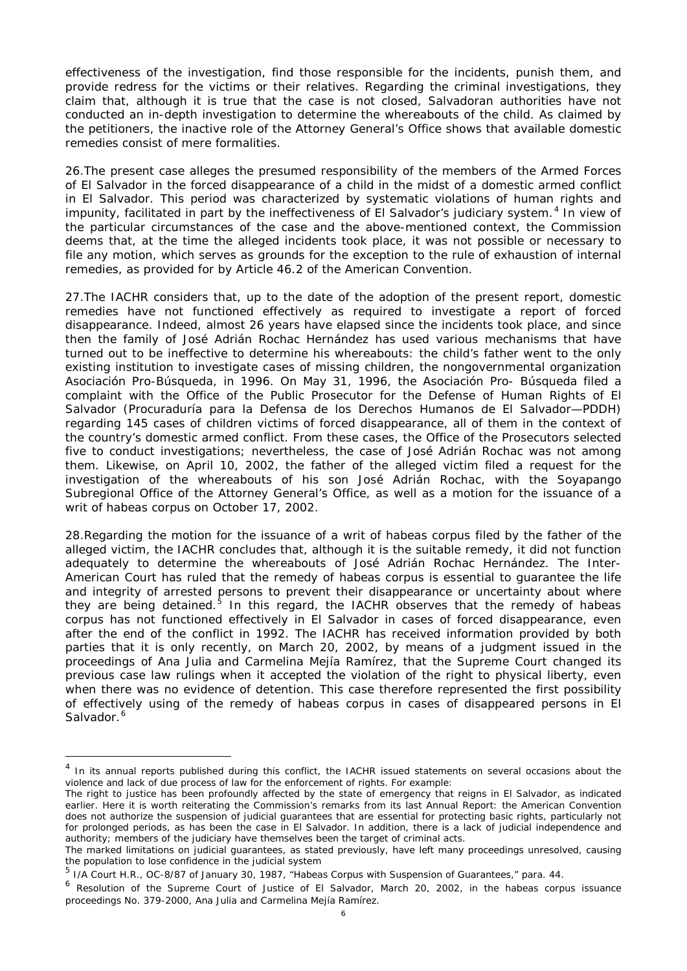effectiveness of the investigation, find those responsible for the incidents, punish them, and provide redress for the victims or their relatives. Regarding the criminal investigations, they claim that, although it is true that the case is not closed, Salvadoran authorities have not conducted an in-depth investigation to determine the whereabouts of the child. As claimed by the petitioners, the inactive role of the Attorney General's Office shows that available domestic remedies consist of mere formalities.

26.The present case alleges the presumed responsibility of the members of the Armed Forces of El Salvador in the forced disappearance of a child in the midst of a domestic armed conflict in El Salvador. This period was characterized by systematic violations of human rights and impunity, facilitated in part by the ineffectiveness of El Salvador's judiciary system.<sup>[4](#page-5-0)</sup> In view of the particular circumstances of the case and the above-mentioned context, the Commission deems that, at the time the alleged incidents took place, it was not possible or necessary to file any motion, which serves as grounds for the exception to the rule of exhaustion of internal remedies, as provided for by Article 46.2 of the American Convention.

27.The IACHR considers that, up to the date of the adoption of the present report, domestic remedies have not functioned effectively as required to investigate a report of forced disappearance. Indeed, almost 26 years have elapsed since the incidents took place, and since then the family of José Adrián Rochac Hernández has used various mechanisms that have turned out to be ineffective to determine his whereabouts: the child's father went to the only existing institution to investigate cases of missing children, the nongovernmental organization *Asociación Pro-Búsqueda*, in 1996. On May 31, 1996, the *Asociación Pro- Búsqueda* filed a complaint with the Office of the Public Prosecutor for the Defense of Human Rights of El Salvador (Procuraduría para la Defensa de los Derechos Humanos de El Salvador—PDDH) regarding 145 cases of children victims of forced disappearance, all of them in the context of the country's domestic armed conflict. From these cases, the Office of the Prosecutors selected five to conduct investigations; nevertheless, the case of José Adrián Rochac was not among them. Likewise, on April 10, 2002, the father of the alleged victim filed a request for the investigation of the whereabouts of his son José Adrián Rochac, with the Soyapango Subregional Office of the Attorney General's Office, as well as a motion for the issuance of a writ of habeas corpus on October 17, 2002.

28.Regarding the motion for the issuance of a writ of habeas corpus filed by the father of the alleged victim, the IACHR concludes that, although it is the suitable remedy, it did not function adequately to determine the whereabouts of José Adrián Rochac Hernández. The Inter-American Court has ruled that the remedy of habeas corpus is essential to guarantee the life and integrity of arrested persons to prevent their disappearance or uncertainty about where they are being detained.<sup>[5](#page-5-1)</sup> In this regard, the IACHR observes that the remedy of habeas corpus has not functioned effectively in El Salvador in cases of forced disappearance, even after the end of the conflict in 1992. The IACHR has received information provided by both parties that it is only recently, on March 20, 2002, by means of a judgment issued in the proceedings of Ana Julia and Carmelina Mejía Ramírez, that the Supreme Court changed its previous case law rulings when it accepted the violation of the right to physical liberty, even when there was no evidence of detention. This case therefore represented the first possibility of effectively using of the remedy of habeas corpus in cases of disappeared persons in El Salvador.<sup>[6](#page-5-2)</sup>

<span id="page-5-0"></span><sup>&</sup>lt;sup>4</sup> In its annual reports published during this conflict, the IACHR issued statements on several occasions about the violence and lack of due process of law for the enforcement of rights. For example:

The right to justice has been profoundly affected by the state of emergency that reigns in El Salvador, as indicated earlier. Here it is worth reiterating the Commission's remarks from its last Annual Report: the American Convention does not authorize the suspension of judicial guarantees that are essential for protecting basic rights, particularly not for prolonged periods, as has been the case in El Salvador. In addition, there is a lack of judicial independence and authority; members of the judiciary have themselves been the target of criminal acts.

The marked limitations on judicial guarantees, as stated previously, have left many proceedings unresolved, causing the population to lose confidence in the judicial system

<span id="page-5-1"></span><sup>5</sup> I/A Court H.R., OC-8/87 of January 30, 1987, "Habeas Corpus with Suspension of Guarantees," para. 44.

<span id="page-5-2"></span><sup>&</sup>lt;sup>6</sup> Resolution of the Supreme Court of Justice of El Salvador, March 20, 2002, in the habeas corpus issuance proceedings No. 379-2000, Ana Julia and Carmelina Mejía Ramírez.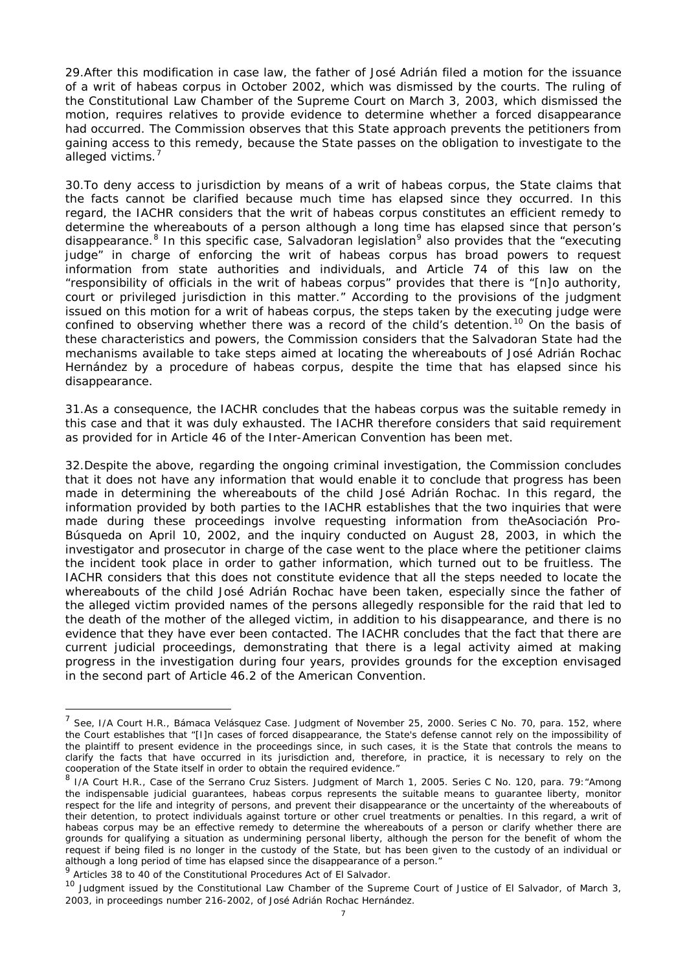29.After this modification in case law, the father of José Adrián filed a motion for the issuance of a writ of habeas corpus in October 2002, which was dismissed by the courts. The ruling of the Constitutional Law Chamber of the Supreme Court on March 3, 2003, which dismissed the motion, requires relatives to provide evidence to determine whether a forced disappearance had occurred. The Commission observes that this State approach prevents the petitioners from gaining access to this remedy, because the State passes on the obligation to investigate to the alleged victims.<sup>[7](#page-6-0)</sup>

30.To deny access to jurisdiction by means of a writ of habeas corpus, the State claims that the facts cannot be clarified because much time has elapsed since they occurred. In this regard, the IACHR considers that the writ of habeas corpus constitutes an efficient remedy to determine the whereabouts of a person although a long time has elapsed since that person's disappearance.<sup>[8](#page-6-1)</sup> In this specific case, Salvadoran legislation<sup>[9](#page-6-2)</sup> also provides that the "executing judge" in charge of enforcing the writ of habeas corpus has broad powers to request information from state authorities and individuals, and Article 74 of this law on the "responsibility of officials in the writ of habeas corpus" provides that there is "[n]o authority, court or privileged jurisdiction in this matter." According to the provisions of the judgment issued on this motion for a writ of habeas corpus, the steps taken by the executing judge were confined to observing whether there was a record of the child's detention.<sup>[10](#page-6-3)</sup> On the basis of these characteristics and powers, the Commission considers that the Salvadoran State had the mechanisms available to take steps aimed at locating the whereabouts of José Adrián Rochac Hernández by a procedure of habeas corpus, despite the time that has elapsed since his disappearance.

31.As a consequence, the IACHR concludes that the habeas corpus was the suitable remedy in this case and that it was duly exhausted. The IACHR therefore considers that said requirement as provided for in Article 46 of the Inter-American Convention has been met.

32.Despite the above, regarding the ongoing criminal investigation, the Commission concludes that it does not have any information that would enable it to conclude that progress has been made in determining the whereabouts of the child José Adrián Rochac. In this regard, the information provided by both parties to the IACHR establishes that the two inquiries that were made during these proceedings involve requesting information from the*Asociación Pro-Búsqueda* on April 10, 2002, and the inquiry conducted on August 28, 2003, in which the investigator and prosecutor in charge of the case went to the place where the petitioner claims the incident took place in order to gather information, which turned out to be fruitless. The IACHR considers that this does not constitute evidence that all the steps needed to locate the whereabouts of the child José Adrián Rochac have been taken, especially since the father of the alleged victim provided names of the persons allegedly responsible for the raid that led to the death of the mother of the alleged victim, in addition to his disappearance, and there is no evidence that they have ever been contacted. The IACHR concludes that the fact that there are current judicial proceedings, demonstrating that there is a legal activity aimed at making progress in the investigation during four years, provides grounds for the exception envisaged in the second part of Article 46.2 of the American Convention.

<span id="page-6-0"></span> <sup>7</sup> See, I/A Court H.R., *Bámaca Velásquez Case.* Judgment of November 25, 2000. Series C No. 70, para. 152, where the Court establishes that "[I]n cases of forced disappearance, the State's defense cannot rely on the impossibility of the plaintiff to present evidence in the proceedings since, in such cases, it is the State that controls the means to clarify the facts that have occurred in its jurisdiction and, therefore, in practice, it is necessary to rely on the cooperation of the State itself in order to obtain the required evidence."

<span id="page-6-1"></span><sup>8</sup> I/A Court H.R., *Case of the Serrano Cruz Sisters.* Judgment of March 1, 2005. Series C No. 120, para. 79:"Among the indispensable judicial guarantees, habeas corpus represents the suitable means to guarantee liberty, monitor respect for the life and integrity of persons, and prevent their disappearance or the uncertainty of the whereabouts of their detention, to protect individuals against torture or other cruel treatments or penalties. In this regard, a writ of habeas corpus may be an effective remedy to determine the whereabouts of a person or clarify whether there are grounds for qualifying a situation as undermining personal liberty, although the person for the benefit of whom the request if being filed is no longer in the custody of the State, but has been given to the custody of an individual or although a long period of time has elapsed since the disappearance of a person."

<span id="page-6-2"></span><sup>9</sup> Articles 38 to 40 of the Constitutional Procedures Act of El Salvador.

<span id="page-6-3"></span><sup>&</sup>lt;sup>10</sup> Judgment issued by the Constitutional Law Chamber of the Supreme Court of Justice of El Salvador, of March 3, 2003, in proceedings number 216-2002, of José Adrián Rochac Hernández.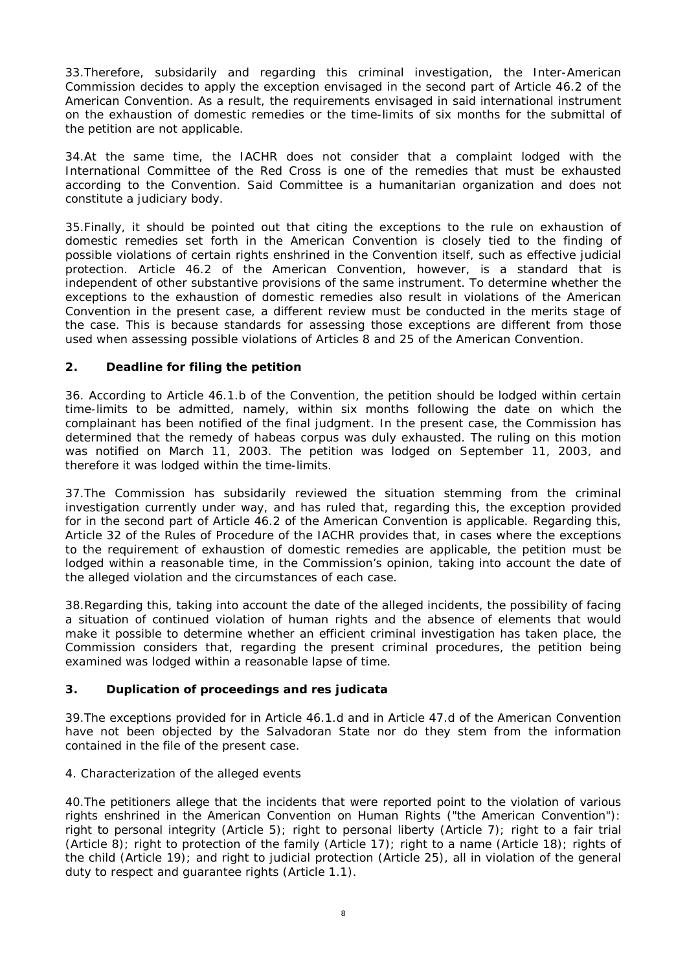33.Therefore, subsidarily and regarding this criminal investigation, the Inter-American Commission decides to apply the exception envisaged in the second part of Article 46.2 of the American Convention. As a result, the requirements envisaged in said international instrument on the exhaustion of domestic remedies or the time-limits of six months for the submittal of the petition are not applicable.

34.At the same time, the IACHR does not consider that a complaint lodged with the International Committee of the Red Cross is one of the remedies that must be exhausted according to the Convention. Said Committee is a humanitarian organization and does not constitute a judiciary body.

35.Finally, it should be pointed out that citing the exceptions to the rule on exhaustion of domestic remedies set forth in the American Convention is closely tied to the finding of possible violations of certain rights enshrined in the Convention itself, such as effective judicial protection. Article 46.2 of the American Convention, however, is a standard that is independent of other substantive provisions of the same instrument. To determine whether the exceptions to the exhaustion of domestic remedies also result in violations of the American Convention in the present case, a different review must be conducted in the merits stage of the case. This is because standards for assessing those exceptions are different from those used when assessing possible violations of Articles 8 and 25 of the American Convention.

### **2. Deadline for filing the petition**

36. According to Article 46.1.b of the Convention, the petition should be lodged within certain time-limits to be admitted, namely, within six months following the date on which the complainant has been notified of the final judgment. In the present case, the Commission has determined that the remedy of habeas corpus was duly exhausted. The ruling on this motion was notified on March 11, 2003. The petition was lodged on September 11, 2003, and therefore it was lodged within the time-limits.

37.The Commission has subsidarily reviewed the situation stemming from the criminal investigation currently under way, and has ruled that, regarding this, the exception provided for in the second part of Article 46.2 of the American Convention is applicable. Regarding this, Article 32 of the Rules of Procedure of the IACHR provides that, in cases where the exceptions to the requirement of exhaustion of domestic remedies are applicable, the petition must be lodged within a reasonable time, in the Commission's opinion, taking into account the date of the alleged violation and the circumstances of each case.

38.Regarding this, taking into account the date of the alleged incidents, the possibility of facing a situation of continued violation of human rights and the absence of elements that would make it possible to determine whether an efficient criminal investigation has taken place, the Commission considers that, regarding the present criminal procedures, the petition being examined was lodged within a reasonable lapse of time.

## **3. Duplication of proceedings and** *res judicata*

39.The exceptions provided for in Article 46.1.d and in Article 47.d of the American Convention have not been objected by the Salvadoran State nor do they stem from the information contained in the file of the present case.

#### 4. Characterization of the alleged events

40.The petitioners allege that the incidents that were reported point to the violation of various rights enshrined in the American Convention on Human Rights ("the American Convention"): right to personal integrity (Article 5); right to personal liberty (Article 7); right to a fair trial (Article 8); right to protection of the family (Article 17); right to a name (Article 18); rights of the child (Article 19); and right to judicial protection (Article 25), all in violation of the general duty to respect and guarantee rights (Article 1.1).